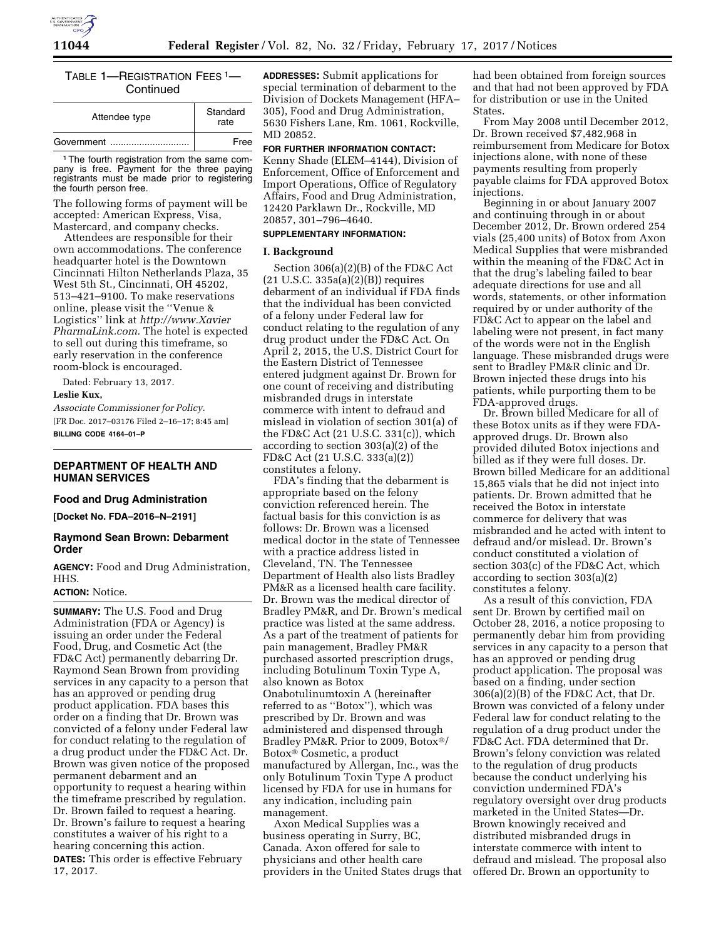

# TABLE 1—REGISTRATION FEES 1— **Continued**

| Attendee type | Standard<br>rate |
|---------------|------------------|
| Government    | Free             |

<sup>1</sup> The fourth registration from the same company is free. Payment for the three paying registrants must be made prior to registering the fourth person free.

The following forms of payment will be accepted: American Express, Visa, Mastercard, and company checks.

Attendees are responsible for their own accommodations. The conference headquarter hotel is the Downtown Cincinnati Hilton Netherlands Plaza, 35 West 5th St., Cincinnati, OH 45202, 513–421–9100. To make reservations online, please visit the ''Venue & Logistics'' link at *[http://www.Xavier](http://www.XavierPharmaLink.com) [PharmaLink.com.](http://www.XavierPharmaLink.com)* The hotel is expected to sell out during this timeframe, so early reservation in the conference room-block is encouraged.

Dated: February 13, 2017.

# **Leslie Kux,**

*Associate Commissioner for Policy.*  [FR Doc. 2017–03176 Filed 2–16–17; 8:45 am] **BILLING CODE 4164–01–P** 

## **DEPARTMENT OF HEALTH AND HUMAN SERVICES**

#### **Food and Drug Administration**

**[Docket No. FDA–2016–N–2191]** 

### **Raymond Sean Brown: Debarment Order**

**AGENCY:** Food and Drug Administration, HHS.

### **ACTION:** Notice.

**SUMMARY:** The U.S. Food and Drug Administration (FDA or Agency) is issuing an order under the Federal Food, Drug, and Cosmetic Act (the FD&C Act) permanently debarring Dr. Raymond Sean Brown from providing services in any capacity to a person that has an approved or pending drug product application. FDA bases this order on a finding that Dr. Brown was convicted of a felony under Federal law for conduct relating to the regulation of a drug product under the FD&C Act. Dr. Brown was given notice of the proposed permanent debarment and an opportunity to request a hearing within the timeframe prescribed by regulation. Dr. Brown failed to request a hearing. Dr. Brown's failure to request a hearing constitutes a waiver of his right to a hearing concerning this action. **DATES:** This order is effective February 17, 2017.

**ADDRESSES:** Submit applications for special termination of debarment to the Division of Dockets Management (HFA– 305), Food and Drug Administration, 5630 Fishers Lane, Rm. 1061, Rockville, MD 20852.

#### **FOR FURTHER INFORMATION CONTACT:**

Kenny Shade (ELEM–4144), Division of Enforcement, Office of Enforcement and Import Operations, Office of Regulatory Affairs, Food and Drug Administration, 12420 Parklawn Dr., Rockville, MD 20857, 301–796–4640.

# **SUPPLEMENTARY INFORMATION:**

## **I. Background**

Section 306(a)(2)(B) of the FD&C Act (21 U.S.C. 335a(a)(2)(B)) requires debarment of an individual if FDA finds that the individual has been convicted of a felony under Federal law for conduct relating to the regulation of any drug product under the FD&C Act. On April 2, 2015, the U.S. District Court for the Eastern District of Tennessee entered judgment against Dr. Brown for one count of receiving and distributing misbranded drugs in interstate commerce with intent to defraud and mislead in violation of section 301(a) of the FD&C Act (21 U.S.C. 331(c)), which according to section 303(a)(2) of the FD&C Act (21 U.S.C. 333(a)(2)) constitutes a felony.

FDA's finding that the debarment is appropriate based on the felony conviction referenced herein. The factual basis for this conviction is as follows: Dr. Brown was a licensed medical doctor in the state of Tennessee with a practice address listed in Cleveland, TN. The Tennessee Department of Health also lists Bradley PM&R as a licensed health care facility. Dr. Brown was the medical director of Bradley PM&R, and Dr. Brown's medical practice was listed at the same address. As a part of the treatment of patients for pain management, Bradley PM&R purchased assorted prescription drugs, including Botulinum Toxin Type A, also known as Botox Onabotulinumtoxin A (hereinafter referred to as ''Botox''), which was prescribed by Dr. Brown and was administered and dispensed through Bradley PM&R. Prior to 2009, Botox®/ Botox® Cosmetic, a product manufactured by Allergan, Inc., was the only Botulinum Toxin Type A product licensed by FDA for use in humans for any indication, including pain management.

Axon Medical Supplies was a business operating in Surry, BC, Canada. Axon offered for sale to physicians and other health care providers in the United States drugs that had been obtained from foreign sources and that had not been approved by FDA for distribution or use in the United States.

From May 2008 until December 2012, Dr. Brown received \$7,482,968 in reimbursement from Medicare for Botox injections alone, with none of these payments resulting from properly payable claims for FDA approved Botox injections.

Beginning in or about January 2007 and continuing through in or about December 2012, Dr. Brown ordered 254 vials (25,400 units) of Botox from Axon Medical Supplies that were misbranded within the meaning of the FD&C Act in that the drug's labeling failed to bear adequate directions for use and all words, statements, or other information required by or under authority of the FD&C Act to appear on the label and labeling were not present, in fact many of the words were not in the English language. These misbranded drugs were sent to Bradley PM&R clinic and Dr. Brown injected these drugs into his patients, while purporting them to be FDA-approved drugs.

Dr. Brown billed Medicare for all of these Botox units as if they were FDAapproved drugs. Dr. Brown also provided diluted Botox injections and billed as if they were full doses. Dr. Brown billed Medicare for an additional 15,865 vials that he did not inject into patients. Dr. Brown admitted that he received the Botox in interstate commerce for delivery that was misbranded and he acted with intent to defraud and/or mislead. Dr. Brown's conduct constituted a violation of section 303(c) of the FD&C Act, which according to section 303(a)(2) constitutes a felony.

As a result of this conviction, FDA sent Dr. Brown by certified mail on October 28, 2016, a notice proposing to permanently debar him from providing services in any capacity to a person that has an approved or pending drug product application. The proposal was based on a finding, under section 306(a)(2)(B) of the FD&C Act, that Dr. Brown was convicted of a felony under Federal law for conduct relating to the regulation of a drug product under the FD&C Act. FDA determined that Dr. Brown's felony conviction was related to the regulation of drug products because the conduct underlying his conviction undermined FDA's regulatory oversight over drug products marketed in the United States—Dr. Brown knowingly received and distributed misbranded drugs in interstate commerce with intent to defraud and mislead. The proposal also offered Dr. Brown an opportunity to